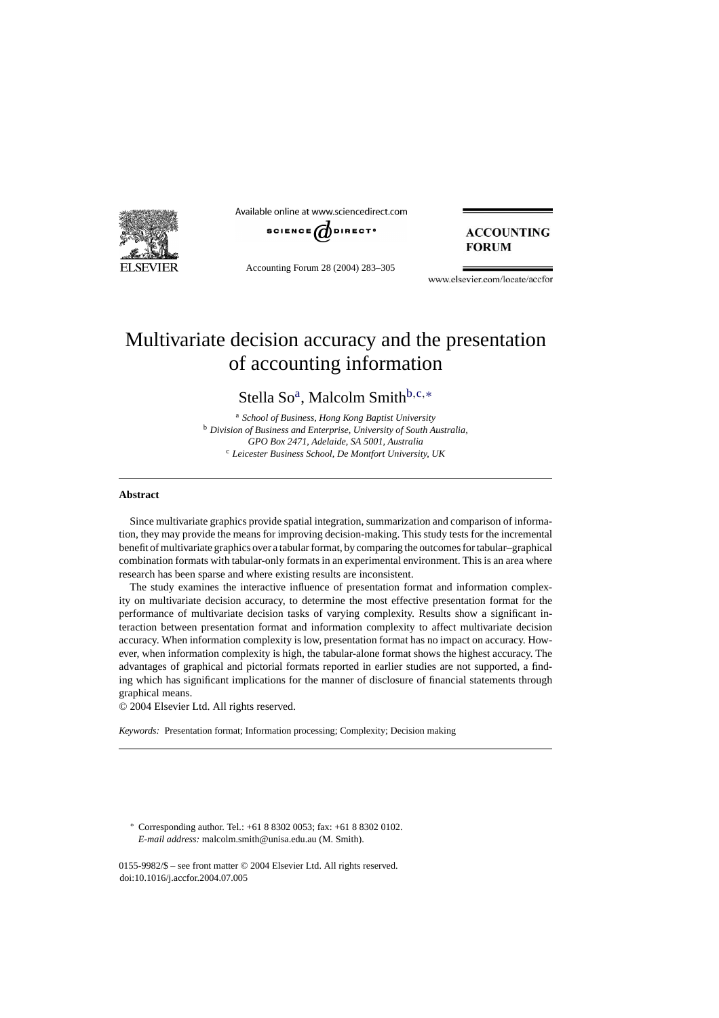

Available online at www.sciencedirect.com



Accounting Forum 28 (2004) 283–305

### **ACCOUNTING FORUM**

www.elsevier.com/locate/accfor

## Multivariate decision accuracy and the presentation of accounting information

Stella So<sup>a</sup>, Malcolm Smith<sup>b,c,\*</sup>

<sup>a</sup> *School of Business, Hong Kong Baptist University* <sup>b</sup> *Division of Business and Enterprise, University of South Australia, GPO Box 2471, Adelaide, SA 5001, Australia* <sup>c</sup> *Leicester Business School, De Montfort University, UK*

#### **Abstract**

Since multivariate graphics provide spatial integration, summarization and comparison of information, they may provide the means for improving decision-making. This study tests for the incremental benefit of multivariate graphics over a tabular format, by comparing the outcomes for tabular–graphical combination formats with tabular-only formats in an experimental environment. This is an area where research has been sparse and where existing results are inconsistent.

The study examines the interactive influence of presentation format and information complexity on multivariate decision accuracy, to determine the most effective presentation format for the performance of multivariate decision tasks of varying complexity. Results show a significant interaction between presentation format and information complexity to affect multivariate decision accuracy. When information complexity is low, presentation format has no impact on accuracy. However, when information complexity is high, the tabular-alone format shows the highest accuracy. The advantages of graphical and pictorial formats reported in earlier studies are not supported, a finding which has significant implications for the manner of disclosure of financial statements through graphical means.

© 2004 Elsevier Ltd. All rights reserved.

*Keywords:* Presentation format; Information processing; Complexity; Decision making

∗ Corresponding author. Tel.: +61 8 8302 0053; fax: +61 8 8302 0102. *E-mail address:* malcolm.smith@unisa.edu.au (M. Smith).

0155-9982/\$ – see front matter © 2004 Elsevier Ltd. All rights reserved. doi:10.1016/j.accfor.2004.07.005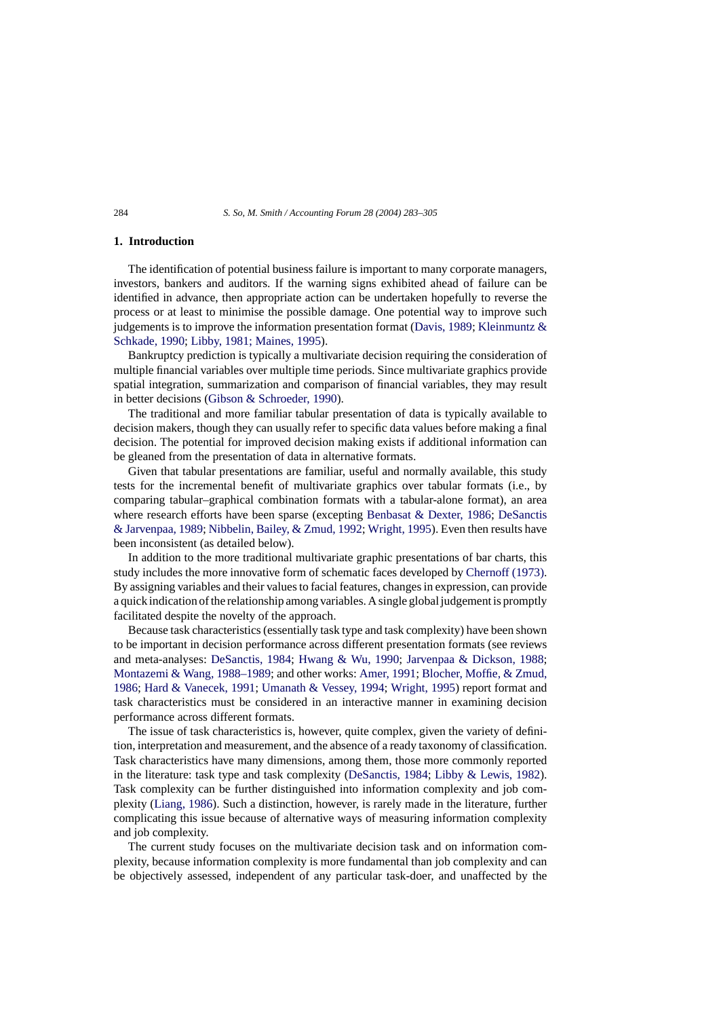#### **1. Introduction**

The identification of potential business failure is important to many corporate managers, investors, bankers and auditors. If the warning signs exhibited ahead of failure can be identified in advance, then appropriate action can be undertaken hopefully to reverse the process or at least to minimise the possible damage. One potential way to improve such judgements is to improve the information presentation format [\(Davis, 1989;](#page--1-0) Kleinmuntz  $\&$ [Schkade, 1990;](#page--1-0) [Libby, 1981; Maines, 1995\).](#page--1-0)

Bankruptcy prediction is typically a multivariate decision requiring the consideration of multiple financial variables over multiple time periods. Since multivariate graphics provide spatial integration, summarization and comparison of financial variables, they may result in better decisions [\(Gibson & Schroeder, 1990\).](#page--1-0)

The traditional and more familiar tabular presentation of data is typically available to decision makers, though they can usually refer to specific data values before making a final decision. The potential for improved decision making exists if additional information can be gleaned from the presentation of data in alternative formats.

Given that tabular presentations are familiar, useful and normally available, this study tests for the incremental benefit of multivariate graphics over tabular formats (i.e., by comparing tabular–graphical combination formats with a tabular-alone format), an area where research efforts have been sparse (excepting [Benbasat & Dexter, 1986;](#page--1-0) [DeSanctis](#page--1-0) [& Jarvenpaa, 1989;](#page--1-0) [Nibbelin, Bailey, & Zmud, 1992;](#page--1-0) [Wright, 1995\).](#page--1-0) Even then results have been inconsistent (as detailed below).

In addition to the more traditional multivariate graphic presentations of bar charts, this study includes the more innovative form of schematic faces developed by [Chernoff \(1973\).](#page--1-0) By assigning variables and their values to facial features, changes in expression, can provide a quick indication of the relationship among variables. A single global judgement is promptly facilitated despite the novelty of the approach.

Because task characteristics (essentially task type and task complexity) have been shown to be important in decision performance across different presentation formats (see reviews and meta-analyses: [DeSanctis, 1984;](#page--1-0) [Hwang & Wu, 1990;](#page--1-0) [Jarvenpaa & Dickson, 1988;](#page--1-0) [Montazemi & Wang, 1988–1989; a](#page--1-0)nd other works: [Amer, 1991;](#page--1-0) [Blocher, Moffie, & Zmud,](#page--1-0) [1986;](#page--1-0) [Hard & Vanecek, 1991;](#page--1-0) [Umanath & Vessey, 1994;](#page--1-0) [Wright, 1995\)](#page--1-0) report format and task characteristics must be considered in an interactive manner in examining decision performance across different formats.

The issue of task characteristics is, however, quite complex, given the variety of definition, interpretation and measurement, and the absence of a ready taxonomy of classification. Task characteristics have many dimensions, among them, those more commonly reported in the literature: task type and task complexity [\(DeSanctis, 1984;](#page--1-0) [Libby & Lewis, 1982\)](#page--1-0). Task complexity can be further distinguished into information complexity and job complexity ([Liang, 1986\).](#page--1-0) Such a distinction, however, is rarely made in the literature, further complicating this issue because of alternative ways of measuring information complexity and job complexity.

The current study focuses on the multivariate decision task and on information complexity, because information complexity is more fundamental than job complexity and can be objectively assessed, independent of any particular task-doer, and unaffected by the